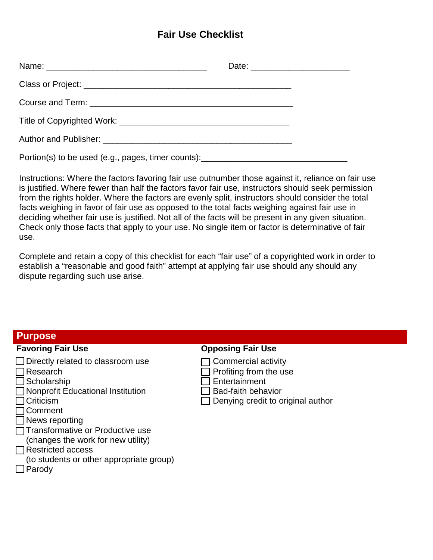# **Fair Use Checklist**

|                                                                                   | Date: ____________________________ |
|-----------------------------------------------------------------------------------|------------------------------------|
|                                                                                   |                                    |
|                                                                                   |                                    |
|                                                                                   |                                    |
|                                                                                   |                                    |
| Portion(s) to be used (e.g., pages, timer counts): ______________________________ |                                    |

Instructions: Where the factors favoring fair use outnumber those against it, reliance on fair use is justified. Where fewer than half the factors favor fair use, instructors should seek permission from the rights holder. Where the factors are evenly split, instructors should consider the total facts weighing in favor of fair use as opposed to the total facts weighing against fair use in deciding whether fair use is justified. Not all of the facts will be present in any given situation. Check only those facts that apply to your use. No single item or factor is determinative of fair use.

Complete and retain a copy of this checklist for each "fair use" of a copyrighted work in order to establish a "reasonable and good faith" attempt at applying fair use should any should any dispute regarding such use arise.

# **Purpose**

- $\Box$  Directly related to classroom use  $\Box$  Commercial activity □ Research Desearch Profiting from the use<br>□ Scholarship Desearch Desearch Profiting from the use
- 
- $\Box$  Nonprofit Educational Institution
- 
- Comment
- News reporting
- **□Transformative or Productive use**
- (changes the work for new utility)
- **□ Restricted access**
- (to students or other appropriate group)
- $\Box$  Parody

# **Favoring Fair Use Opposing Fair Use**

- 
- 
- 
- □ Entertainment<br>□ Bad-faith behavior
- □ Criticism **Denying credit to original author**